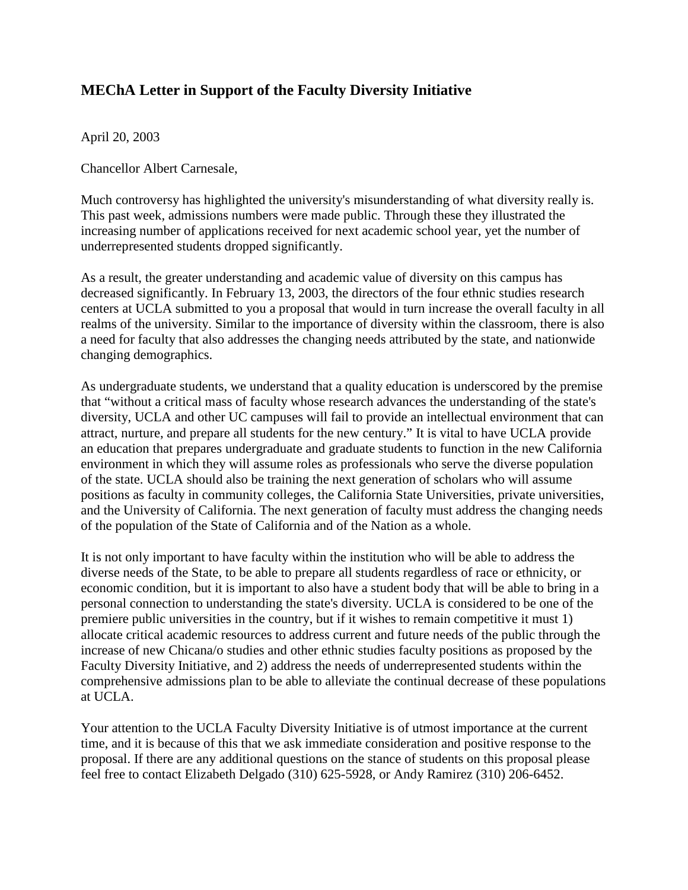## **MEChA Letter in Support of the Faculty Diversity Initiative**

April 20, 2003

Chancellor Albert Carnesale,

Much controversy has highlighted the university's misunderstanding of what diversity really is. This past week, admissions numbers were made public. Through these they illustrated the increasing number of applications received for next academic school year, yet the number of underrepresented students dropped significantly.

As a result, the greater understanding and academic value of diversity on this campus has decreased significantly. In February 13, 2003, the directors of the four ethnic studies research centers at UCLA submitted to you a proposal that would in turn increase the overall faculty in all realms of the university. Similar to the importance of diversity within the classroom, there is also a need for faculty that also addresses the changing needs attributed by the state, and nationwide changing demographics.

As undergraduate students, we understand that a quality education is underscored by the premise that "without a critical mass of faculty whose research advances the understanding of the state's diversity, UCLA and other UC campuses will fail to provide an intellectual environment that can attract, nurture, and prepare all students for the new century." It is vital to have UCLA provide an education that prepares undergraduate and graduate students to function in the new California environment in which they will assume roles as professionals who serve the diverse population of the state. UCLA should also be training the next generation of scholars who will assume positions as faculty in community colleges, the California State Universities, private universities, and the University of California. The next generation of faculty must address the changing needs of the population of the State of California and of the Nation as a whole.

It is not only important to have faculty within the institution who will be able to address the diverse needs of the State, to be able to prepare all students regardless of race or ethnicity, or economic condition, but it is important to also have a student body that will be able to bring in a personal connection to understanding the state's diversity. UCLA is considered to be one of the premiere public universities in the country, but if it wishes to remain competitive it must 1) allocate critical academic resources to address current and future needs of the public through the increase of new Chicana/o studies and other ethnic studies faculty positions as proposed by the Faculty Diversity Initiative, and 2) address the needs of underrepresented students within the comprehensive admissions plan to be able to alleviate the continual decrease of these populations at UCLA.

Your attention to the UCLA Faculty Diversity Initiative is of utmost importance at the current time, and it is because of this that we ask immediate consideration and positive response to the proposal. If there are any additional questions on the stance of students on this proposal please feel free to contact Elizabeth Delgado (310) 625-5928, or Andy Ramirez (310) 206-6452.